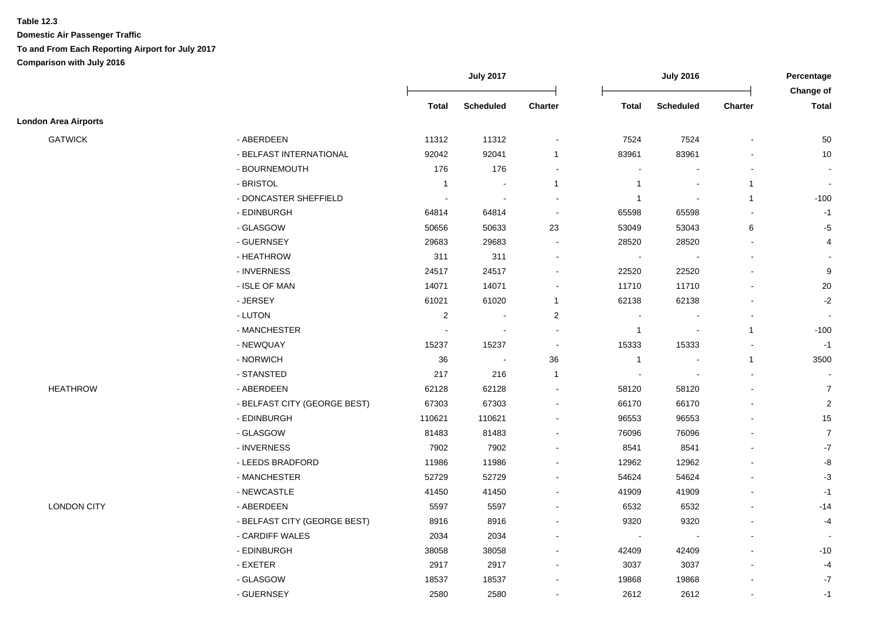#### **Table 12.3**

|                             |                              |              | <b>July 2017</b>         |                |                | <b>July 2016</b>         |                | Percentage                |
|-----------------------------|------------------------------|--------------|--------------------------|----------------|----------------|--------------------------|----------------|---------------------------|
|                             |                              | Total        | <b>Scheduled</b>         | <b>Charter</b> | <b>Total</b>   | <b>Scheduled</b>         | <b>Charter</b> | Change of<br><b>Total</b> |
| <b>London Area Airports</b> |                              |              |                          |                |                |                          |                |                           |
| <b>GATWICK</b>              | - ABERDEEN                   | 11312        | 11312                    |                | 7524           | 7524                     | $\overline{a}$ | 50                        |
|                             | - BELFAST INTERNATIONAL      | 92042        | 92041                    | $\mathbf{1}$   | 83961          | 83961                    |                | 10                        |
|                             | - BOURNEMOUTH                | 176          | 176                      |                |                |                          |                |                           |
|                             | - BRISTOL                    | $\mathbf{1}$ |                          | $\mathbf{1}$   | -1             |                          | $\mathbf{1}$   | <b>.</b>                  |
|                             | - DONCASTER SHEFFIELD        |              |                          |                | $\overline{1}$ |                          | $\mathbf{1}$   | $-100$                    |
|                             | - EDINBURGH                  | 64814        | 64814                    | $\blacksquare$ | 65598          | 65598                    |                | $-1$                      |
|                             | - GLASGOW                    | 50656        | 50633                    | 23             | 53049          | 53043                    | 6              | $-5$                      |
|                             | - GUERNSEY                   | 29683        | 29683                    | $\sim$         | 28520          | 28520                    | $\mathbf{r}$   | 4                         |
|                             | - HEATHROW                   | 311          | 311                      |                | $\blacksquare$ | $\overline{\phantom{a}}$ |                |                           |
|                             | - INVERNESS                  | 24517        | 24517                    |                | 22520          | 22520                    |                | $\boldsymbol{9}$          |
|                             | - ISLE OF MAN                | 14071        | 14071                    |                | 11710          | 11710                    | $\blacksquare$ | 20                        |
|                             | - JERSEY                     | 61021        | 61020                    | $\mathbf{1}$   | 62138          | 62138                    |                | $-2$                      |
|                             | - LUTON                      | $\sqrt{2}$   |                          | $\overline{c}$ |                |                          |                |                           |
|                             | - MANCHESTER                 |              |                          |                | $\overline{1}$ |                          | $\mathbf{1}$   | $-100$                    |
|                             | - NEWQUAY                    | 15237        | 15237                    |                | 15333          | 15333                    |                | $-1$                      |
|                             | - NORWICH                    | 36           | $\overline{\phantom{a}}$ | $36\,$         | $\overline{1}$ |                          | $\mathbf{1}$   | 3500                      |
|                             | - STANSTED                   | 217          | 216                      | $\mathbf{1}$   |                |                          | $\overline{a}$ |                           |
| <b>HEATHROW</b>             | - ABERDEEN                   | 62128        | 62128                    |                | 58120          | 58120                    | $\blacksquare$ | $\overline{7}$            |
|                             | - BELFAST CITY (GEORGE BEST) | 67303        | 67303                    |                | 66170          | 66170                    |                | $\overline{2}$            |
|                             | - EDINBURGH                  | 110621       | 110621                   |                | 96553          | 96553                    |                | 15                        |
|                             | - GLASGOW                    | 81483        | 81483                    |                | 76096          | 76096                    |                | $\overline{7}$            |
|                             | - INVERNESS                  | 7902         | 7902                     |                | 8541           | 8541                     |                | $-7$                      |
|                             | - LEEDS BRADFORD             | 11986        | 11986                    |                | 12962          | 12962                    |                | $\mbox{-}8$               |
|                             | - MANCHESTER                 | 52729        | 52729                    |                | 54624          | 54624                    |                | $-3$                      |
|                             | - NEWCASTLE                  | 41450        | 41450                    |                | 41909          | 41909                    |                | $-1$                      |
| <b>LONDON CITY</b>          | - ABERDEEN                   | 5597         | 5597                     |                | 6532           | 6532                     |                | $-14$                     |
|                             | - BELFAST CITY (GEORGE BEST) | 8916         | 8916                     |                | 9320           | 9320                     |                | $-4$                      |
|                             | - CARDIFF WALES              | 2034         | 2034                     |                | $\blacksquare$ |                          |                |                           |
|                             | - EDINBURGH                  | 38058        | 38058                    |                | 42409          | 42409                    |                | $-10$                     |
|                             | - EXETER                     | 2917         | 2917                     |                | 3037           | 3037                     | $\overline{a}$ | $-4$                      |
|                             | - GLASGOW                    | 18537        | 18537                    |                | 19868          | 19868                    |                | $-7$                      |
|                             | - GUERNSEY                   | 2580         | 2580                     |                | 2612           | 2612                     | L,             | $-1$                      |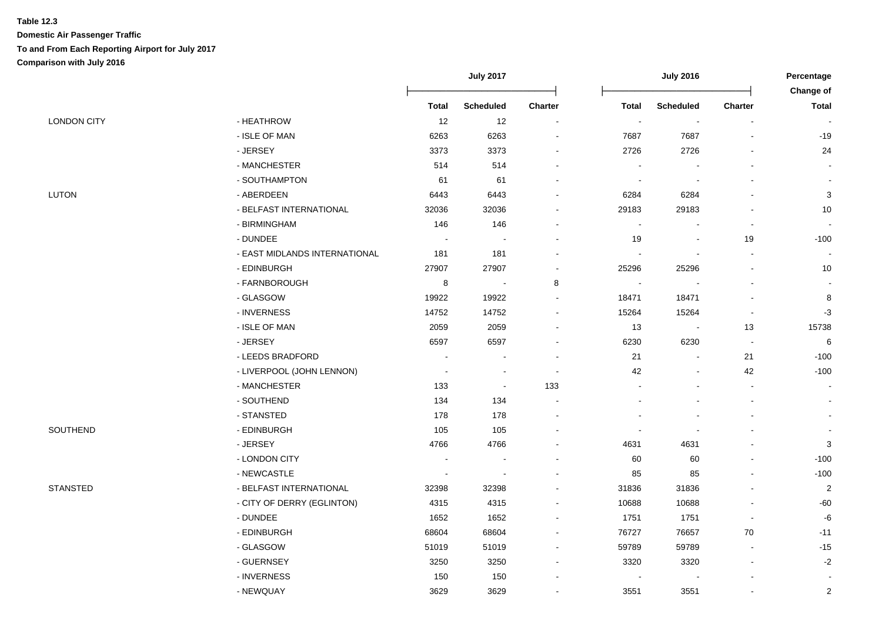|                    |                               | <b>July 2017</b> |                          | <b>July 2016</b>         |                |                          | Percentage<br>Change of  |                |
|--------------------|-------------------------------|------------------|--------------------------|--------------------------|----------------|--------------------------|--------------------------|----------------|
|                    |                               | <b>Total</b>     | <b>Scheduled</b>         | <b>Charter</b>           | <b>Total</b>   | <b>Scheduled</b>         | <b>Charter</b>           | <b>Total</b>   |
| <b>LONDON CITY</b> | - HEATHROW                    | 12               | 12                       | $\blacksquare$           | $\blacksquare$ | $\blacksquare$           | $\overline{\phantom{a}}$ |                |
|                    | - ISLE OF MAN                 | 6263             | 6263                     |                          | 7687           | 7687                     |                          | $-19$          |
|                    | - JERSEY                      | 3373             | 3373                     |                          | 2726           | 2726                     |                          | 24             |
|                    | - MANCHESTER                  | 514              | 514                      |                          |                |                          |                          |                |
|                    | - SOUTHAMPTON                 | 61               | 61                       |                          |                |                          |                          |                |
| LUTON              | - ABERDEEN                    | 6443             | 6443                     |                          | 6284           | 6284                     |                          | $\mathbf{3}$   |
|                    | - BELFAST INTERNATIONAL       | 32036            | 32036                    |                          | 29183          | 29183                    |                          | 10             |
|                    | - BIRMINGHAM                  | 146              | 146                      |                          |                |                          | $\blacksquare$           |                |
|                    | - DUNDEE                      | $\sim$           |                          |                          | 19             | $\overline{\phantom{a}}$ | 19                       | $-100$         |
|                    | - EAST MIDLANDS INTERNATIONAL | 181              | 181                      |                          |                |                          |                          |                |
|                    | - EDINBURGH                   | 27907            | 27907                    | $\blacksquare$           | 25296          | 25296                    | $\overline{a}$           | 10             |
|                    | - FARNBOROUGH                 | 8                | $\overline{\phantom{a}}$ | 8                        |                |                          |                          |                |
|                    | - GLASGOW                     | 19922            | 19922                    |                          | 18471          | 18471                    | $\overline{a}$           | 8              |
|                    | - INVERNESS                   | 14752            | 14752                    |                          | 15264          | 15264                    | $\overline{\phantom{a}}$ | $-3$           |
|                    | - ISLE OF MAN                 | 2059             | 2059                     |                          | 13             | $\blacksquare$           | 13                       | 15738          |
|                    | - JERSEY                      | 6597             | 6597                     |                          | 6230           | 6230                     | $\sim$                   | 6              |
|                    | - LEEDS BRADFORD              |                  |                          |                          | 21             |                          | 21                       | $-100$         |
|                    | - LIVERPOOL (JOHN LENNON)     | $\blacksquare$   |                          | $\overline{\phantom{a}}$ | 42             |                          | 42                       | $-100$         |
|                    | - MANCHESTER                  | 133              | $\blacksquare$           | 133                      |                |                          | $\blacksquare$           |                |
|                    | - SOUTHEND                    | 134              | 134                      |                          |                |                          |                          |                |
|                    | - STANSTED                    | 178              | 178                      |                          |                |                          |                          |                |
| SOUTHEND           | - EDINBURGH                   | 105              | 105                      |                          |                |                          |                          |                |
|                    | - JERSEY                      | 4766             | 4766                     |                          | 4631           | 4631                     |                          | 3              |
|                    | - LONDON CITY                 |                  |                          |                          | 60             | 60                       |                          | $-100$         |
|                    | - NEWCASTLE                   |                  |                          |                          | 85             | 85                       |                          | $-100$         |
| <b>STANSTED</b>    | - BELFAST INTERNATIONAL       | 32398            | 32398                    |                          | 31836          | 31836                    |                          | $\overline{2}$ |
|                    | - CITY OF DERRY (EGLINTON)    | 4315             | 4315                     |                          | 10688          | 10688                    |                          | $-60$          |
|                    | - DUNDEE                      | 1652             | 1652                     |                          | 1751           | 1751                     | $\blacksquare$           | $-6$           |
|                    | - EDINBURGH                   | 68604            | 68604                    |                          | 76727          | 76657                    | 70                       | $-11$          |
|                    | - GLASGOW                     | 51019            | 51019                    |                          | 59789          | 59789                    | $\blacksquare$           | $-15$          |
|                    | - GUERNSEY                    | 3250             | 3250                     |                          | 3320           | 3320                     | $\blacksquare$           | $-2$           |
|                    | - INVERNESS                   | 150              | 150                      |                          |                |                          |                          |                |
|                    | - NEWQUAY                     | 3629             | 3629                     | $\blacksquare$           | 3551           | 3551                     |                          | $\overline{c}$ |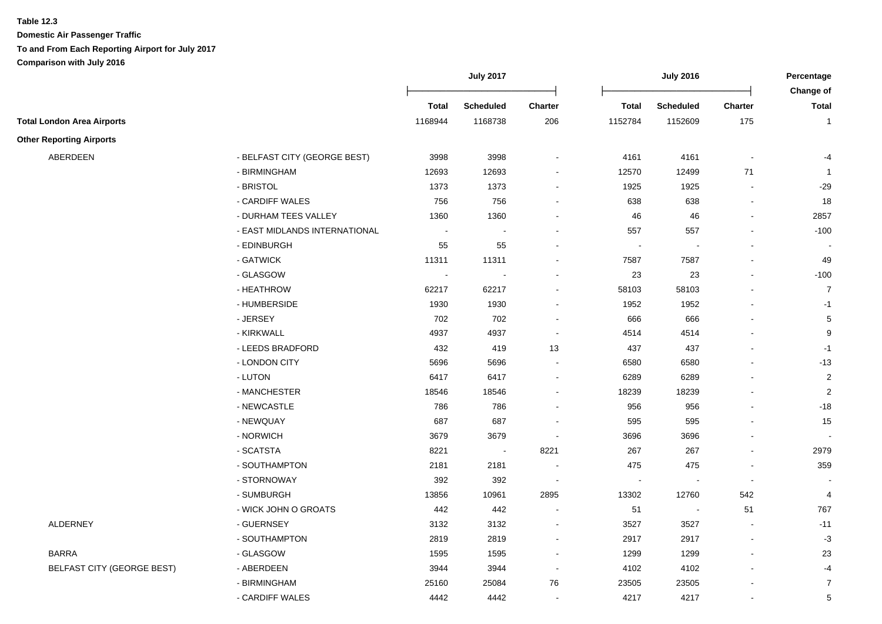**Table 12.3**

|                                   |                               |                | <b>July 2017</b> |                          |                | <b>July 2016</b> |                          | Percentage                |
|-----------------------------------|-------------------------------|----------------|------------------|--------------------------|----------------|------------------|--------------------------|---------------------------|
|                                   |                               | <b>Total</b>   | <b>Scheduled</b> | <b>Charter</b>           | <b>Total</b>   | <b>Scheduled</b> | <b>Charter</b>           | Change of<br><b>Total</b> |
| <b>Total London Area Airports</b> |                               | 1168944        | 1168738          | 206                      | 1152784        | 1152609          | 175                      | $\mathbf{1}$              |
| <b>Other Reporting Airports</b>   |                               |                |                  |                          |                |                  |                          |                           |
| ABERDEEN                          | - BELFAST CITY (GEORGE BEST)  | 3998           | 3998             |                          | 4161           | 4161             | $\overline{\phantom{a}}$ | -4                        |
|                                   | - BIRMINGHAM                  | 12693          | 12693            | $\overline{\phantom{a}}$ | 12570          | 12499            | 71                       | $\overline{1}$            |
|                                   | - BRISTOL                     | 1373           | 1373             | $\blacksquare$           | 1925           | 1925             |                          | $-29$                     |
|                                   | - CARDIFF WALES               | 756            | 756              | $\sim$                   | 638            | 638              |                          | 18                        |
|                                   | - DURHAM TEES VALLEY          | 1360           | 1360             | $\blacksquare$           | 46             | 46               |                          | 2857                      |
|                                   | - EAST MIDLANDS INTERNATIONAL | $\sim$         |                  |                          | 557            | 557              |                          | $-100$                    |
|                                   | - EDINBURGH                   | 55             | 55               |                          | $\sim$         |                  |                          |                           |
|                                   | - GATWICK                     | 11311          | 11311            |                          | 7587           | 7587             |                          | 49                        |
|                                   | - GLASGOW                     | $\blacksquare$ | $\blacksquare$   | $\blacksquare$           | 23             | 23               |                          | $-100$                    |
|                                   | - HEATHROW                    | 62217          | 62217            | $\blacksquare$           | 58103          | 58103            |                          | $\overline{7}$            |
|                                   | - HUMBERSIDE                  | 1930           | 1930             | $\blacksquare$           | 1952           | 1952             |                          | $-1$                      |
|                                   | - JERSEY                      | 702            | 702              | $\overline{\phantom{a}}$ | 666            | 666              |                          | $\sqrt{5}$                |
|                                   | - KIRKWALL                    | 4937           | 4937             | $\overline{\phantom{a}}$ | 4514           | 4514             |                          | 9                         |
|                                   | - LEEDS BRADFORD              | 432            | 419              | 13                       | 437            | 437              |                          | $-1$                      |
|                                   | - LONDON CITY                 | 5696           | 5696             | $\sim$                   | 6580           | 6580             |                          | $-13$                     |
|                                   | - LUTON                       | 6417           | 6417             | $\blacksquare$           | 6289           | 6289             |                          | $\overline{c}$            |
|                                   | - MANCHESTER                  | 18546          | 18546            | $\blacksquare$           | 18239          | 18239            |                          | $\overline{c}$            |
|                                   | - NEWCASTLE                   | 786            | 786              | $\blacksquare$           | 956            | 956              |                          | $-18$                     |
|                                   | - NEWQUAY                     | 687            | 687              | $\blacksquare$           | 595            | 595              |                          | 15                        |
|                                   | - NORWICH                     | 3679           | 3679             | $\blacksquare$           | 3696           | 3696             |                          |                           |
|                                   | - SCATSTA                     | 8221           | $\sim$           | 8221                     | 267            | 267              |                          | 2979                      |
|                                   | - SOUTHAMPTON                 | 2181           | 2181             |                          | 475            | 475              |                          | 359                       |
|                                   | - STORNOWAY                   | 392            | 392              | $\overline{\phantom{a}}$ | $\blacksquare$ |                  |                          |                           |
|                                   | - SUMBURGH                    | 13856          | 10961            | 2895                     | 13302          | 12760            | 542                      | $\overline{4}$            |
|                                   | - WICK JOHN O GROATS          | 442            | 442              | $\sim$                   | 51             | $\sim$           | 51                       | 767                       |
| ALDERNEY                          | - GUERNSEY                    | 3132           | 3132             | $\blacksquare$           | 3527           | 3527             | $\sim$                   | $-11$                     |
|                                   | - SOUTHAMPTON                 | 2819           | 2819             | $\overline{\phantom{a}}$ | 2917           | 2917             |                          | $-3$                      |
| <b>BARRA</b>                      | - GLASGOW                     | 1595           | 1595             | $\blacksquare$           | 1299           | 1299             |                          | 23                        |
| <b>BELFAST CITY (GEORGE BEST)</b> | - ABERDEEN                    | 3944           | 3944             | $\sim$                   | 4102           | 4102             |                          | $-4$                      |
|                                   | - BIRMINGHAM                  | 25160          | 25084            | 76                       | 23505          | 23505            |                          | $\overline{7}$            |
|                                   | - CARDIFF WALES               | 4442           | 4442             | $\blacksquare$           | 4217           | 4217             |                          | 5                         |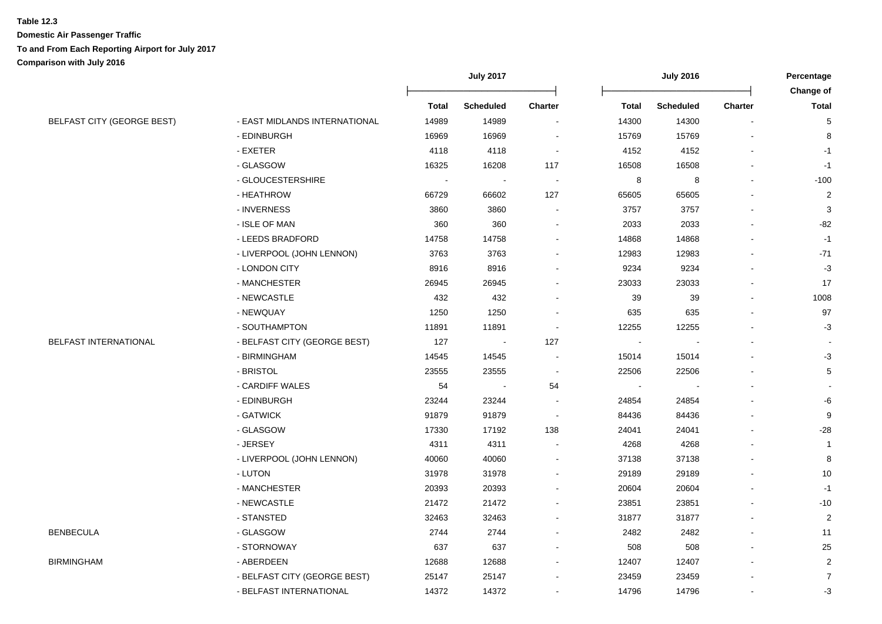|                            |                               |              | <b>July 2017</b> |                          |                | <b>July 2016</b> |                | Percentage              |
|----------------------------|-------------------------------|--------------|------------------|--------------------------|----------------|------------------|----------------|-------------------------|
|                            |                               |              |                  |                          |                |                  |                | Change of               |
|                            |                               | <b>Total</b> | <b>Scheduled</b> | <b>Charter</b>           | <b>Total</b>   | <b>Scheduled</b> | <b>Charter</b> | <b>Total</b>            |
| BELFAST CITY (GEORGE BEST) | - EAST MIDLANDS INTERNATIONAL | 14989        | 14989            |                          | 14300          | 14300            |                | 5                       |
|                            | - EDINBURGH                   | 16969        | 16969            | $\sim$                   | 15769          | 15769            |                | 8                       |
|                            | - EXETER                      | 4118         | 4118             | $\sim$                   | 4152           | 4152             |                | $-1$                    |
|                            | - GLASGOW                     | 16325        | 16208            | 117                      | 16508          | 16508            |                | $-1$                    |
|                            | - GLOUCESTERSHIRE             | $\sim$       |                  |                          | 8              | 8                |                | $-100$                  |
|                            | - HEATHROW                    | 66729        | 66602            | 127                      | 65605          | 65605            |                | $\sqrt{2}$              |
|                            | - INVERNESS                   | 3860         | 3860             | $\blacksquare$           | 3757           | 3757             |                | 3                       |
|                            | - ISLE OF MAN                 | 360          | 360              | $\overline{\phantom{a}}$ | 2033           | 2033             |                | $-82$                   |
|                            | - LEEDS BRADFORD              | 14758        | 14758            |                          | 14868          | 14868            |                | $-1$                    |
|                            | - LIVERPOOL (JOHN LENNON)     | 3763         | 3763             |                          | 12983          | 12983            | $\blacksquare$ | $-71$                   |
|                            | - LONDON CITY                 | 8916         | 8916             |                          | 9234           | 9234             | $\blacksquare$ | $-3$                    |
|                            | - MANCHESTER                  | 26945        | 26945            |                          | 23033          | 23033            |                | 17                      |
|                            | - NEWCASTLE                   | 432          | 432              | $\sim$                   | 39             | 39               |                | 1008                    |
|                            | - NEWQUAY                     | 1250         | 1250             | $\sim$                   | 635            | 635              |                | 97                      |
|                            | - SOUTHAMPTON                 | 11891        | 11891            | $\overline{\phantom{a}}$ | 12255          | 12255            |                | $-3$                    |
| BELFAST INTERNATIONAL      | - BELFAST CITY (GEORGE BEST)  | 127          |                  | 127                      | $\blacksquare$ |                  |                |                         |
|                            | - BIRMINGHAM                  | 14545        | 14545            | $\sim$                   | 15014          | 15014            |                | $-3$                    |
|                            | - BRISTOL                     | 23555        | 23555            | $\blacksquare$           | 22506          | 22506            |                | $\mathbf 5$             |
|                            | - CARDIFF WALES               | 54           |                  | 54                       |                |                  |                | $\blacksquare$          |
|                            | - EDINBURGH                   | 23244        | 23244            | $\sim$                   | 24854          | 24854            |                | -6                      |
|                            | - GATWICK                     | 91879        | 91879            | $\overline{\phantom{a}}$ | 84436          | 84436            |                | 9                       |
|                            | - GLASGOW                     | 17330        | 17192            | 138                      | 24041          | 24041            |                | $-28$                   |
|                            | - JERSEY                      | 4311         | 4311             | $\blacksquare$           | 4268           | 4268             |                | $\mathbf{1}$            |
|                            | - LIVERPOOL (JOHN LENNON)     | 40060        | 40060            | $\sim$                   | 37138          | 37138            |                | 8                       |
|                            | - LUTON                       | 31978        | 31978            |                          | 29189          | 29189            |                | 10                      |
|                            | - MANCHESTER                  | 20393        | 20393            |                          | 20604          | 20604            |                | $-1$                    |
|                            | - NEWCASTLE                   | 21472        | 21472            |                          | 23851          | 23851            |                | $-10$                   |
|                            | - STANSTED                    | 32463        | 32463            |                          | 31877          | 31877            |                | $\boldsymbol{2}$        |
| <b>BENBECULA</b>           | - GLASGOW                     | 2744         | 2744             |                          | 2482           | 2482             |                | 11                      |
|                            | - STORNOWAY                   | 637          | 637              |                          | 508            | 508              |                | 25                      |
| <b>BIRMINGHAM</b>          | - ABERDEEN                    | 12688        | 12688            |                          | 12407          | 12407            |                | $\overline{\mathbf{c}}$ |
|                            | - BELFAST CITY (GEORGE BEST)  | 25147        | 25147            |                          | 23459          | 23459            |                | $\boldsymbol{7}$        |
|                            | - BELFAST INTERNATIONAL       | 14372        | 14372            |                          | 14796          | 14796            | $\mathbf{r}$   | $-3$                    |
|                            |                               |              |                  |                          |                |                  |                |                         |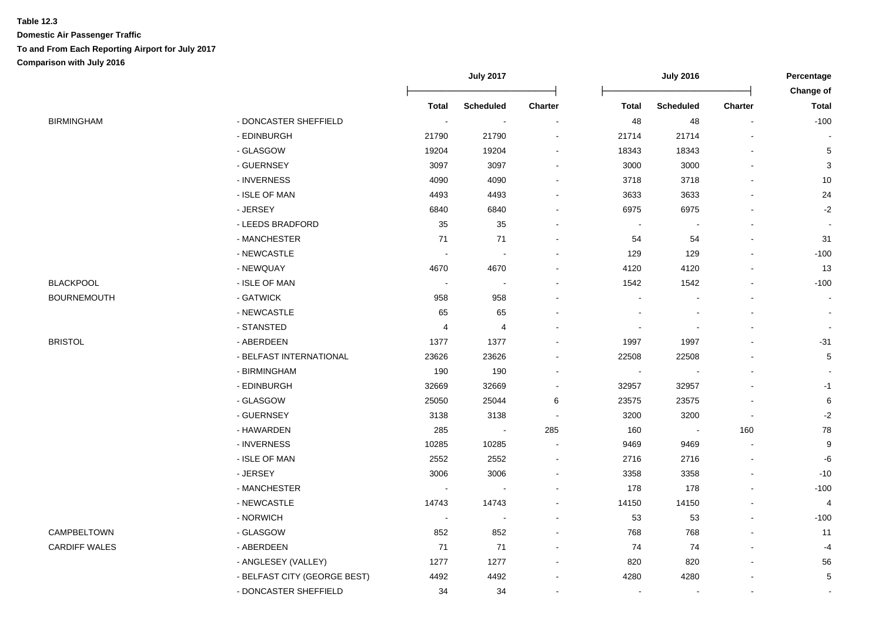|                              |                          | <b>July 2017</b>         |                          |                          | <b>July 2016</b> |     | Percentage<br><b>Change of</b> |
|------------------------------|--------------------------|--------------------------|--------------------------|--------------------------|------------------|-----|--------------------------------|
|                              | <b>Total</b>             | <b>Scheduled</b>         |                          | <b>Total</b>             | <b>Scheduled</b> |     | <b>Total</b>                   |
| - DONCASTER SHEFFIELD        | $\sim$                   | $\blacksquare$           | $\overline{a}$           | 48                       | 48               |     | $-100$                         |
| - EDINBURGH                  | 21790                    | 21790                    |                          | 21714                    | 21714            |     |                                |
| - GLASGOW                    | 19204                    | 19204                    |                          | 18343                    | 18343            |     | 5                              |
| - GUERNSEY                   | 3097                     | 3097                     |                          | 3000                     | 3000             |     | 3                              |
| - INVERNESS                  | 4090                     | 4090                     |                          | 3718                     | 3718             |     | $10$                           |
| - ISLE OF MAN                | 4493                     | 4493                     |                          | 3633                     | 3633             |     | 24                             |
| - JERSEY                     | 6840                     | 6840                     |                          | 6975                     | 6975             |     | $-2$                           |
| - LEEDS BRADFORD             | 35                       | 35                       |                          | $\overline{\phantom{a}}$ | $\blacksquare$   |     |                                |
| - MANCHESTER                 | 71                       | 71                       |                          | 54                       | 54               |     | 31                             |
| - NEWCASTLE                  |                          |                          |                          | 129                      | 129              |     | $-100$                         |
| - NEWQUAY                    | 4670                     | 4670                     |                          | 4120                     | 4120             |     | 13                             |
| - ISLE OF MAN                | $\sim$                   | $\overline{\phantom{a}}$ |                          | 1542                     | 1542             |     | $-100$                         |
| - GATWICK                    | 958                      | 958                      |                          |                          |                  |     | $\blacksquare$                 |
| - NEWCASTLE                  | 65                       | 65                       |                          |                          |                  |     | $\sim$                         |
| - STANSTED                   | 4                        | 4                        |                          | $\overline{\phantom{a}}$ |                  |     |                                |
| - ABERDEEN                   | 1377                     | 1377                     |                          | 1997                     | 1997             |     | $-31$                          |
| - BELFAST INTERNATIONAL      | 23626                    | 23626                    |                          | 22508                    | 22508            |     | 5                              |
| - BIRMINGHAM                 | 190                      | 190                      |                          |                          |                  |     |                                |
| - EDINBURGH                  | 32669                    | 32669                    |                          | 32957                    | 32957            |     | $-1$                           |
| - GLASGOW                    | 25050                    | 25044                    | 6                        | 23575                    | 23575            |     | 6                              |
| - GUERNSEY                   | 3138                     | 3138                     | $\overline{\phantom{a}}$ | 3200                     | 3200             |     | $-2$                           |
| - HAWARDEN                   | 285                      | $\overline{\phantom{a}}$ | 285                      | 160                      | $\blacksquare$   | 160 | 78                             |
| - INVERNESS                  | 10285                    | 10285                    | $\overline{\phantom{a}}$ | 9469                     | 9469             |     | 9                              |
| - ISLE OF MAN                | 2552                     | 2552                     |                          | 2716                     | 2716             |     | $-6$                           |
| - JERSEY                     | 3006                     | 3006                     |                          | 3358                     | 3358             |     | $-10$                          |
| - MANCHESTER                 | $\sim$                   |                          |                          | 178                      | 178              |     | $-100$                         |
| - NEWCASTLE                  | 14743                    | 14743                    |                          | 14150                    | 14150            |     | 4                              |
| - NORWICH                    | $\overline{\phantom{a}}$ |                          |                          | 53                       | 53               |     | $-100$                         |
| - GLASGOW                    | 852                      | 852                      |                          | 768                      | 768              |     | 11                             |
| - ABERDEEN                   | 71                       | 71                       |                          | 74                       | 74               |     | $-4$                           |
| - ANGLESEY (VALLEY)          | 1277                     | 1277                     |                          | 820                      | 820              |     | 56                             |
| - BELFAST CITY (GEORGE BEST) | 4492                     | 4492                     |                          | 4280                     | 4280             |     | $\mathbf 5$                    |
| - DONCASTER SHEFFIELD        | 34                       | 34                       |                          |                          |                  |     |                                |
|                              |                          |                          |                          | <b>Charter</b>           |                  |     | Charter                        |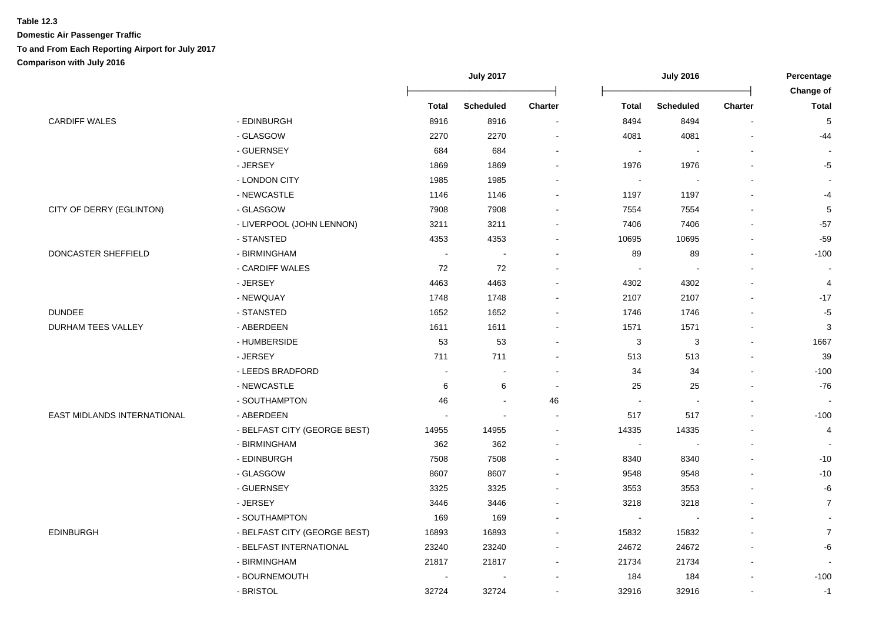|                             |                              | <b>July 2017</b> |                  | <b>July 2016</b> |              |                  | Percentage     |                |
|-----------------------------|------------------------------|------------------|------------------|------------------|--------------|------------------|----------------|----------------|
|                             |                              |                  |                  |                  |              |                  |                | Change of      |
|                             |                              | <b>Total</b>     | <b>Scheduled</b> | Charter          | <b>Total</b> | <b>Scheduled</b> | <b>Charter</b> | <b>Total</b>   |
| <b>CARDIFF WALES</b>        | - EDINBURGH                  | 8916             | 8916             |                  | 8494         | 8494             |                | $\sqrt{5}$     |
|                             | - GLASGOW                    | 2270             | 2270             |                  | 4081         | 4081             |                | -44            |
|                             | - GUERNSEY                   | 684              | 684              |                  |              |                  |                |                |
|                             | - JERSEY                     | 1869             | 1869             |                  | 1976         | 1976             |                | -5             |
|                             | - LONDON CITY                | 1985             | 1985             |                  |              |                  |                |                |
|                             | - NEWCASTLE                  | 1146             | 1146             |                  | 1197         | 1197             |                | -4             |
| CITY OF DERRY (EGLINTON)    | - GLASGOW                    | 7908             | 7908             |                  | 7554         | 7554             |                | 5              |
|                             | - LIVERPOOL (JOHN LENNON)    | 3211             | 3211             |                  | 7406         | 7406             |                | $-57$          |
|                             | - STANSTED                   | 4353             | 4353             |                  | 10695        | 10695            | $\overline{a}$ | $-59$          |
| DONCASTER SHEFFIELD         | - BIRMINGHAM                 |                  |                  |                  | 89           | 89               |                | $-100$         |
|                             | - CARDIFF WALES              | 72               | 72               |                  |              |                  |                |                |
|                             | - JERSEY                     | 4463             | 4463             |                  | 4302         | 4302             |                | $\overline{4}$ |
|                             | - NEWQUAY                    | 1748             | 1748             |                  | 2107         | 2107             |                | $-17$          |
| <b>DUNDEE</b>               | - STANSTED                   | 1652             | 1652             |                  | 1746         | 1746             |                | $-5$           |
| DURHAM TEES VALLEY          | - ABERDEEN                   | 1611             | 1611             |                  | 1571         | 1571             |                | 3              |
|                             | - HUMBERSIDE                 | 53               | 53               |                  | 3            | 3                |                | 1667           |
|                             | - JERSEY                     | 711              | 711              |                  | 513          | 513              |                | 39             |
|                             | - LEEDS BRADFORD             |                  |                  |                  | 34           | 34               |                | $-100$         |
|                             | - NEWCASTLE                  | 6                | 6                |                  | 25           | 25               |                | $-76$          |
|                             | - SOUTHAMPTON                | 46               |                  | 46               |              |                  |                |                |
| EAST MIDLANDS INTERNATIONAL | - ABERDEEN                   |                  |                  |                  | 517          | 517              | $\overline{a}$ | $-100$         |
|                             | - BELFAST CITY (GEORGE BEST) | 14955            | 14955            |                  | 14335        | 14335            |                | 4              |
|                             | - BIRMINGHAM                 | 362              | 362              |                  |              |                  |                |                |
|                             | - EDINBURGH                  | 7508             | 7508             |                  | 8340         | 8340             |                | $-10$          |
|                             | - GLASGOW                    | 8607             | 8607             |                  | 9548         | 9548             |                | $-10$          |
|                             | - GUERNSEY                   | 3325             | 3325             |                  | 3553         | 3553             |                | -6             |
|                             | - JERSEY                     | 3446             | 3446             |                  | 3218         | 3218             |                | $\overline{7}$ |
|                             | - SOUTHAMPTON                | 169              | 169              |                  |              |                  |                |                |
| <b>EDINBURGH</b>            | - BELFAST CITY (GEORGE BEST) | 16893            | 16893            |                  | 15832        | 15832            |                | $\overline{7}$ |
|                             | - BELFAST INTERNATIONAL      | 23240            | 23240            |                  | 24672        | 24672            |                | -6             |
|                             | - BIRMINGHAM                 | 21817            | 21817            |                  | 21734        | 21734            |                |                |
|                             | - BOURNEMOUTH                |                  |                  |                  | 184          | 184              |                | $-100$         |
|                             | - BRISTOL                    | 32724            | 32724            |                  | 32916        | 32916            |                | $-1$           |
|                             |                              |                  |                  |                  |              |                  |                |                |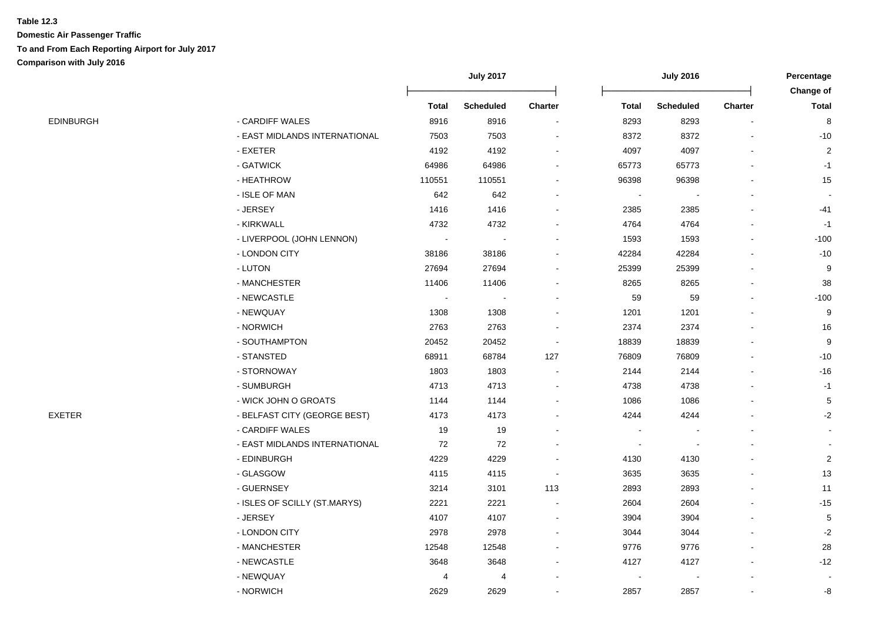|           |                               |                | <b>July 2017</b> |                |              | <b>July 2016</b> |                | Percentage<br>Change of |
|-----------|-------------------------------|----------------|------------------|----------------|--------------|------------------|----------------|-------------------------|
|           |                               | <b>Total</b>   | <b>Scheduled</b> | <b>Charter</b> | <b>Total</b> | <b>Scheduled</b> | <b>Charter</b> | <b>Total</b>            |
| EDINBURGH | - CARDIFF WALES               | 8916           | 8916             | $\blacksquare$ | 8293         | 8293             |                | 8                       |
|           | - EAST MIDLANDS INTERNATIONAL | 7503           | 7503             |                | 8372         | 8372             |                | $-10$                   |
|           | - EXETER                      | 4192           | 4192             |                | 4097         | 4097             |                | $\overline{2}$          |
|           | - GATWICK                     | 64986          | 64986            |                | 65773        | 65773            |                | $-1$                    |
|           | - HEATHROW                    | 110551         | 110551           |                | 96398        | 96398            |                | 15                      |
|           | - ISLE OF MAN                 | 642            | 642              |                |              |                  |                |                         |
|           | - JERSEY                      | 1416           | 1416             |                | 2385         | 2385             |                | -41                     |
|           | - KIRKWALL                    | 4732           | 4732             |                | 4764         | 4764             |                | $-1$                    |
|           | - LIVERPOOL (JOHN LENNON)     | $\blacksquare$ | $\blacksquare$   |                | 1593         | 1593             | $\overline{a}$ | $-100$                  |
|           | - LONDON CITY                 | 38186          | 38186            |                | 42284        | 42284            |                | $-10$                   |
|           | - LUTON                       | 27694          | 27694            |                | 25399        | 25399            |                | 9                       |
|           | - MANCHESTER                  | 11406          | 11406            |                | 8265         | 8265             |                | 38                      |
|           | - NEWCASTLE                   | $\sim$         |                  |                | 59           | 59               |                | $-100$                  |
|           | - NEWQUAY                     | 1308           | 1308             |                | 1201         | 1201             |                | 9                       |
|           | - NORWICH                     | 2763           | 2763             |                | 2374         | 2374             |                | 16                      |
|           | - SOUTHAMPTON                 | 20452          | 20452            |                | 18839        | 18839            |                | 9                       |
|           | - STANSTED                    | 68911          | 68784            | 127            | 76809        | 76809            |                | $-10$                   |
|           | - STORNOWAY                   | 1803           | 1803             |                | 2144         | 2144             |                | $-16$                   |
|           | - SUMBURGH                    | 4713           | 4713             |                | 4738         | 4738             |                | $-1$                    |
|           | - WICK JOHN O GROATS          | 1144           | 1144             |                | 1086         | 1086             |                | 5                       |
| EXETER    | - BELFAST CITY (GEORGE BEST)  | 4173           | 4173             |                | 4244         | 4244             |                | $-2$                    |
|           | - CARDIFF WALES               | 19             | 19               |                |              |                  |                |                         |
|           | - EAST MIDLANDS INTERNATIONAL | 72             | $72\,$           |                |              |                  |                |                         |
|           | - EDINBURGH                   | 4229           | 4229             |                | 4130         | 4130             |                | $\overline{2}$          |
|           | - GLASGOW                     | 4115           | 4115             |                | 3635         | 3635             |                | 13                      |
|           | - GUERNSEY                    | 3214           | 3101             | 113            | 2893         | 2893             |                | 11                      |
|           | - ISLES OF SCILLY (ST.MARYS)  | 2221           | 2221             | $\blacksquare$ | 2604         | 2604             |                | $-15$                   |
|           | - JERSEY                      | 4107           | 4107             | $\blacksquare$ | 3904         | 3904             |                | $\sqrt{5}$              |
|           | - LONDON CITY                 | 2978           | 2978             |                | 3044         | 3044             |                | $-2$                    |
|           | - MANCHESTER                  | 12548          | 12548            |                | 9776         | 9776             |                | 28                      |
|           | - NEWCASTLE                   | 3648           | 3648             |                | 4127         | 4127             |                | $-12$                   |
|           | - NEWQUAY                     | 4              | 4                |                |              |                  |                |                         |
|           | - NORWICH                     | 2629           | 2629             |                | 2857         | 2857             |                | -8                      |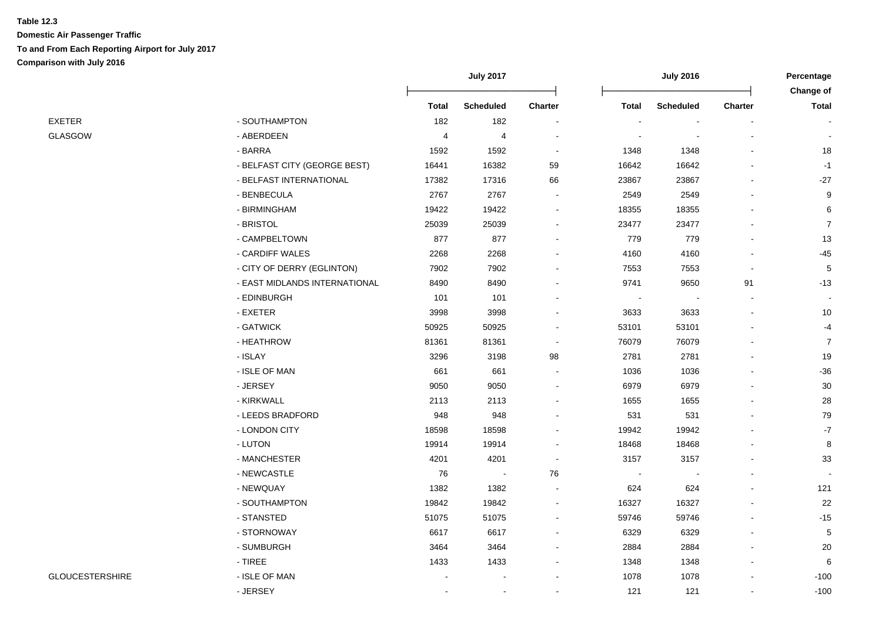|                        |                               | <b>July 2017</b> |                  |                |              | <b>July 2016</b> |         | Percentage<br>Change of |
|------------------------|-------------------------------|------------------|------------------|----------------|--------------|------------------|---------|-------------------------|
|                        |                               | <b>Total</b>     | <b>Scheduled</b> | Charter        | <b>Total</b> | <b>Scheduled</b> | Charter | <b>Total</b>            |
| EXETER                 | - SOUTHAMPTON                 | 182              | 182              | $\blacksquare$ |              |                  |         |                         |
| <b>GLASGOW</b>         | - ABERDEEN                    | $\overline{4}$   | 4                |                |              |                  |         |                         |
|                        | - BARRA                       | 1592             | 1592             | $\sim$         | 1348         | 1348             |         | 18                      |
|                        | - BELFAST CITY (GEORGE BEST)  | 16441            | 16382            | 59             | 16642        | 16642            |         | $-1$                    |
|                        | - BELFAST INTERNATIONAL       | 17382            | 17316            | 66             | 23867        | 23867            |         | $-27$                   |
|                        | - BENBECULA                   | 2767             | 2767             |                | 2549         | 2549             |         | 9                       |
|                        | - BIRMINGHAM                  | 19422            | 19422            | $\blacksquare$ | 18355        | 18355            |         | 6                       |
|                        | - BRISTOL                     | 25039            | 25039            |                | 23477        | 23477            |         | $\overline{7}$          |
|                        | - CAMPBELTOWN                 | 877              | 877              | $\blacksquare$ | 779          | 779              |         | 13                      |
|                        | - CARDIFF WALES               | 2268             | 2268             | $\blacksquare$ | 4160         | 4160             |         | $-45$                   |
|                        | - CITY OF DERRY (EGLINTON)    | 7902             | 7902             |                | 7553         | 7553             |         | 5                       |
|                        | - EAST MIDLANDS INTERNATIONAL | 8490             | 8490             |                | 9741         | 9650             | 91      | $-13$                   |
|                        | - EDINBURGH                   | 101              | 101              |                |              |                  |         |                         |
|                        | - EXETER                      | 3998             | 3998             |                | 3633         | 3633             |         | 10                      |
|                        | - GATWICK                     | 50925            | 50925            |                | 53101        | 53101            |         | $-4$                    |
|                        | - HEATHROW                    | 81361            | 81361            | $\blacksquare$ | 76079        | 76079            |         | $\overline{7}$          |
|                        | - ISLAY                       | 3296             | 3198             | 98             | 2781         | 2781             |         | 19                      |
|                        | - ISLE OF MAN                 | 661              | 661              | $\blacksquare$ | 1036         | 1036             |         | $-36$                   |
|                        | - JERSEY                      | 9050             | 9050             | $\blacksquare$ | 6979         | 6979             |         | 30                      |
|                        | - KIRKWALL                    | 2113             | 2113             |                | 1655         | 1655             |         | 28                      |
|                        | - LEEDS BRADFORD              | 948              | 948              |                | 531          | 531              |         | 79                      |
|                        | - LONDON CITY                 | 18598            | 18598            |                | 19942        | 19942            |         | $-7$                    |
|                        | - LUTON                       | 19914            | 19914            |                | 18468        | 18468            |         | 8                       |
|                        | - MANCHESTER                  | 4201             | 4201             | $\blacksquare$ | 3157         | 3157             |         | 33                      |
|                        | - NEWCASTLE                   | 76               | $\blacksquare$   | 76             |              |                  |         |                         |
|                        | - NEWQUAY                     | 1382             | 1382             | $\sim$         | 624          | 624              |         | 121                     |
|                        | - SOUTHAMPTON                 | 19842            | 19842            | $\blacksquare$ | 16327        | 16327            |         | 22                      |
|                        | - STANSTED                    | 51075            | 51075            | $\overline{a}$ | 59746        | 59746            |         | $-15$                   |
|                        | - STORNOWAY                   | 6617             | 6617             | $\overline{a}$ | 6329         | 6329             |         | 5                       |
|                        | - SUMBURGH                    | 3464             | 3464             |                | 2884         | 2884             |         | 20                      |
|                        | - TIREE                       | 1433             | 1433             |                | 1348         | 1348             |         | 6                       |
| <b>GLOUCESTERSHIRE</b> | - ISLE OF MAN                 |                  |                  |                | 1078         | 1078             |         | $-100$                  |
|                        | - JERSEY                      |                  |                  |                | 121          | 121              |         | $-100$                  |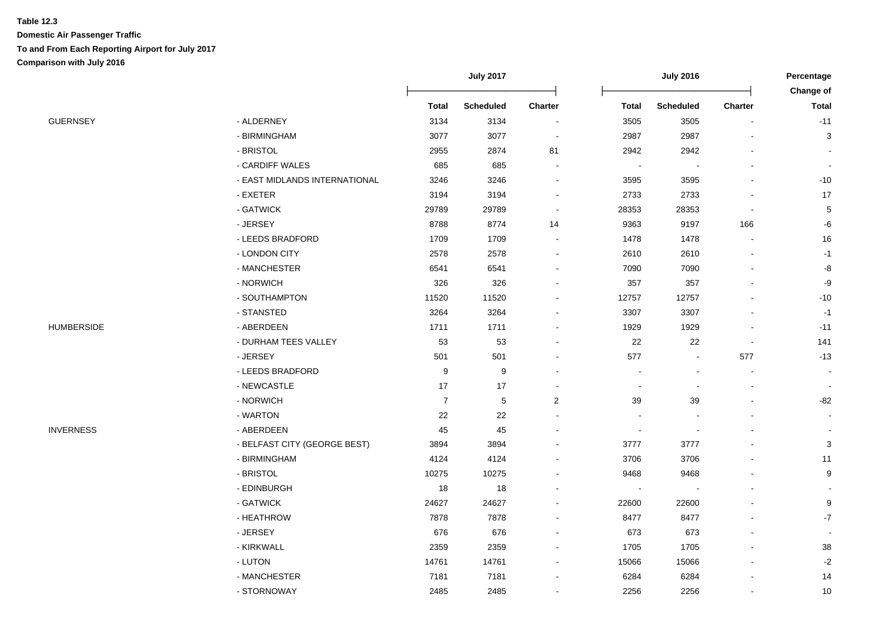|                   |                               |                  | <b>July 2017</b> |                          |                          | <b>July 2016</b> |                | Percentage<br>Change of   |
|-------------------|-------------------------------|------------------|------------------|--------------------------|--------------------------|------------------|----------------|---------------------------|
|                   |                               | <b>Total</b>     | <b>Scheduled</b> | Charter                  | <b>Total</b>             | <b>Scheduled</b> | Charter        | <b>Total</b>              |
| <b>GUERNSEY</b>   | - ALDERNEY                    | 3134             | 3134             | $\blacksquare$           | 3505                     | 3505             |                | $-11$                     |
|                   | - BIRMINGHAM                  | 3077             | 3077             | $\overline{\phantom{a}}$ | 2987                     | 2987             |                | 3                         |
|                   | - BRISTOL                     | 2955             | 2874             | 81                       | 2942                     | 2942             |                |                           |
|                   | - CARDIFF WALES               | 685              | 685              | $\overline{\phantom{a}}$ | $\overline{\phantom{a}}$ |                  |                |                           |
|                   | - EAST MIDLANDS INTERNATIONAL | 3246             | 3246             | $\blacksquare$           | 3595                     | 3595             |                | $-10$                     |
|                   | - EXETER                      | 3194             | 3194             | $\overline{\phantom{a}}$ | 2733                     | 2733             |                | 17                        |
|                   | - GATWICK                     | 29789            | 29789            | $\overline{\phantom{a}}$ | 28353                    | 28353            |                | 5                         |
|                   | - JERSEY                      | 8788             | 8774             | 14                       | 9363                     | 9197             | 166            | -6                        |
|                   | - LEEDS BRADFORD              | 1709             | 1709             |                          | 1478                     | 1478             |                | 16                        |
|                   | - LONDON CITY                 | 2578             | 2578             |                          | 2610                     | 2610             |                | $-1$                      |
|                   | - MANCHESTER                  | 6541             | 6541             |                          | 7090                     | 7090             |                | -8                        |
|                   | - NORWICH                     | 326              | 326              |                          | 357                      | 357              |                | -9                        |
|                   | - SOUTHAMPTON                 | 11520            | 11520            |                          | 12757                    | 12757            |                | $-10$                     |
|                   | - STANSTED                    | 3264             | 3264             |                          | 3307                     | 3307             |                | $-1$                      |
| <b>HUMBERSIDE</b> | - ABERDEEN                    | 1711             | 1711             |                          | 1929                     | 1929             |                | $-11$                     |
|                   | - DURHAM TEES VALLEY          | 53               | 53               |                          | 22                       | 22               | $\blacksquare$ | 141                       |
|                   | - JERSEY                      | 501              | 501              | $\overline{\phantom{a}}$ | 577                      | $\blacksquare$   | 577            | $-13$                     |
|                   | - LEEDS BRADFORD              | $\boldsymbol{9}$ | $\boldsymbol{9}$ |                          | $\blacksquare$           |                  |                |                           |
|                   | - NEWCASTLE                   | 17               | 17               |                          |                          |                  |                |                           |
|                   | - NORWICH                     | $\overline{7}$   | 5                | 2                        | 39                       | 39               |                | $-82$                     |
|                   | - WARTON                      | 22               | 22               |                          |                          |                  |                |                           |
| <b>INVERNESS</b>  | - ABERDEEN                    | 45               | 45               |                          |                          |                  |                |                           |
|                   | - BELFAST CITY (GEORGE BEST)  | 3894             | 3894             |                          | 3777                     | 3777             |                | $\ensuremath{\mathsf{3}}$ |
|                   | - BIRMINGHAM                  | 4124             | 4124             |                          | 3706                     | 3706             |                | 11                        |
|                   | - BRISTOL                     | 10275            | 10275            |                          | 9468                     | 9468             |                | 9                         |
|                   | - EDINBURGH                   | 18               | 18               |                          |                          |                  |                |                           |
|                   | - GATWICK                     | 24627            | 24627            | $\overline{\phantom{a}}$ | 22600                    | 22600            |                | 9                         |
|                   | - HEATHROW                    | 7878             | 7878             |                          | 8477                     | 8477             |                | $-7$                      |
|                   | - JERSEY                      | 676              | 676              | $\sim$                   | 673                      | 673              |                |                           |
|                   | - KIRKWALL                    | 2359             | 2359             | $\blacksquare$           | 1705                     | 1705             |                | 38                        |
|                   | - LUTON                       | 14761            | 14761            | $\overline{a}$           | 15066                    | 15066            |                | $-2$                      |
|                   | - MANCHESTER                  | 7181             | 7181             |                          | 6284                     | 6284             |                | 14                        |
|                   | - STORNOWAY                   | 2485             | 2485             |                          | 2256                     | 2256             |                | 10                        |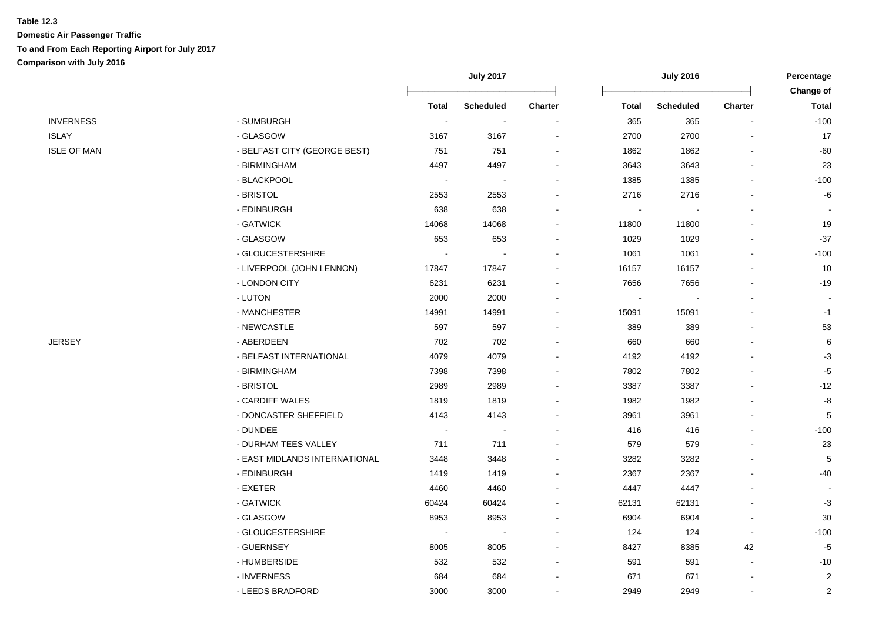|                    |                               | <b>July 2017</b>         |                  |         | <b>July 2016</b>         |                          |                |                           |
|--------------------|-------------------------------|--------------------------|------------------|---------|--------------------------|--------------------------|----------------|---------------------------|
|                    |                               | <b>Total</b>             | <b>Scheduled</b> | Charter | <b>Total</b>             | <b>Scheduled</b>         | Charter        | Change of<br><b>Total</b> |
| <b>INVERNESS</b>   | - SUMBURGH                    | $\sim$                   | $\sim$           |         | 365                      | 365                      |                | $-100$                    |
| <b>ISLAY</b>       | - GLASGOW                     | 3167                     | 3167             |         | 2700                     | 2700                     |                | 17                        |
| <b>ISLE OF MAN</b> | - BELFAST CITY (GEORGE BEST)  | 751                      | 751              |         | 1862                     | 1862                     |                | -60                       |
|                    | - BIRMINGHAM                  | 4497                     | 4497             |         | 3643                     | 3643                     |                | 23                        |
|                    | - BLACKPOOL                   |                          |                  |         | 1385                     | 1385                     |                | $-100$                    |
|                    | - BRISTOL                     | 2553                     | 2553             |         | 2716                     | 2716                     |                | -6                        |
|                    | - EDINBURGH                   | 638                      | 638              |         | $\blacksquare$           |                          |                |                           |
|                    | - GATWICK                     | 14068                    | 14068            |         | 11800                    | 11800                    |                | 19                        |
|                    | - GLASGOW                     | 653                      | 653              |         | 1029                     | 1029                     |                | $-37$                     |
|                    | - GLOUCESTERSHIRE             | $\overline{\phantom{a}}$ | $\blacksquare$   |         | 1061                     | 1061                     |                | $-100$                    |
|                    | - LIVERPOOL (JOHN LENNON)     | 17847                    | 17847            |         | 16157                    | 16157                    |                | 10                        |
|                    | - LONDON CITY                 | 6231                     | 6231             |         | 7656                     | 7656                     |                | $-19$                     |
|                    | - LUTON                       | 2000                     | 2000             |         | $\overline{\phantom{a}}$ | $\overline{\phantom{a}}$ |                |                           |
|                    | - MANCHESTER                  | 14991                    | 14991            |         | 15091                    | 15091                    |                | $-1$                      |
|                    | - NEWCASTLE                   | 597                      | 597              |         | 389                      | 389                      |                | 53                        |
| JERSEY             | - ABERDEEN                    | 702                      | 702              |         | 660                      | 660                      |                | 6                         |
|                    | - BELFAST INTERNATIONAL       | 4079                     | 4079             |         | 4192                     | 4192                     |                | $-3$                      |
|                    | - BIRMINGHAM                  | 7398                     | 7398             |         | 7802                     | 7802                     |                | $-5$                      |
|                    | - BRISTOL                     | 2989                     | 2989             |         | 3387                     | 3387                     |                | $-12$                     |
|                    | - CARDIFF WALES               | 1819                     | 1819             |         | 1982                     | 1982                     |                | -8                        |
|                    | - DONCASTER SHEFFIELD         | 4143                     | 4143             |         | 3961                     | 3961                     |                | 5                         |
|                    | - DUNDEE                      | $\overline{\phantom{a}}$ | $\sim$           |         | 416                      | 416                      |                | $-100$                    |
|                    | - DURHAM TEES VALLEY          | 711                      | 711              |         | 579                      | 579                      |                | 23                        |
|                    | - EAST MIDLANDS INTERNATIONAL | 3448                     | 3448             |         | 3282                     | 3282                     |                | 5                         |
|                    | - EDINBURGH                   | 1419                     | 1419             |         | 2367                     | 2367                     |                | $-40$                     |
|                    | - EXETER                      | 4460                     | 4460             |         | 4447                     | 4447                     |                |                           |
|                    | - GATWICK                     | 60424                    | 60424            |         | 62131                    | 62131                    |                | $-3$                      |
|                    | - GLASGOW                     | 8953                     | 8953             |         | 6904                     | 6904                     |                | 30                        |
|                    | - GLOUCESTERSHIRE             |                          |                  |         | 124                      | 124                      | $\blacksquare$ | $-100$                    |
|                    | - GUERNSEY                    | 8005                     | 8005             |         | 8427                     | 8385                     | 42             | $-5$                      |
|                    | - HUMBERSIDE                  | 532                      | 532              |         | 591                      | 591                      | $\overline{a}$ | $-10$                     |
|                    | - INVERNESS                   | 684                      | 684              |         | 671                      | 671                      |                | $\overline{c}$            |
|                    | - LEEDS BRADFORD              | 3000                     | 3000             |         | 2949                     | 2949                     | $\blacksquare$ | 2                         |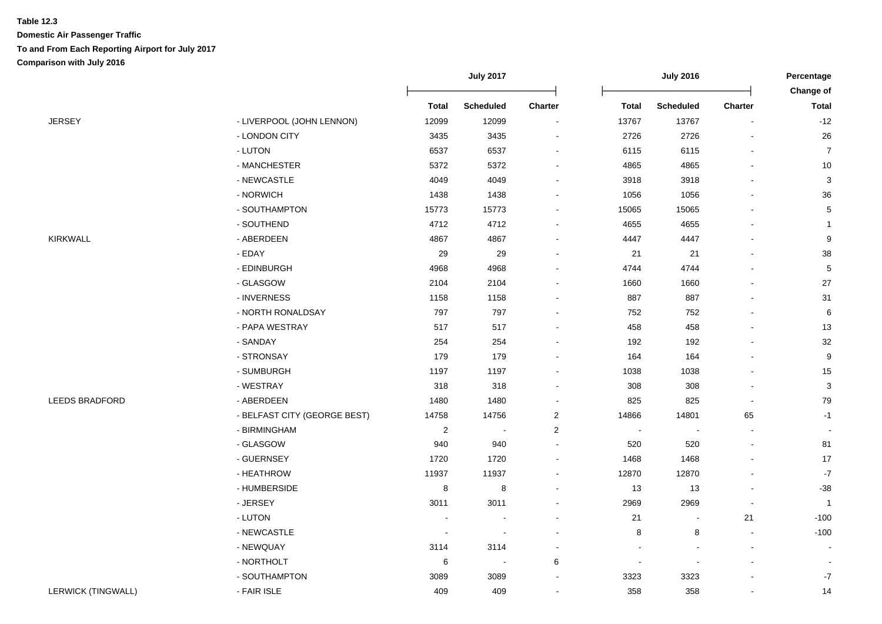|                           |                              |                          | <b>July 2017</b>         |                          |                | <b>July 2016</b>         |                |                |
|---------------------------|------------------------------|--------------------------|--------------------------|--------------------------|----------------|--------------------------|----------------|----------------|
|                           |                              |                          |                          |                          |                |                          |                | Change of      |
|                           |                              | <b>Total</b>             | <b>Scheduled</b>         | <b>Charter</b>           | <b>Total</b>   | <b>Scheduled</b>         | <b>Charter</b> | <b>Total</b>   |
| <b>JERSEY</b>             | - LIVERPOOL (JOHN LENNON)    | 12099                    | 12099                    | $\overline{\phantom{a}}$ | 13767          | 13767                    |                | $-12$          |
|                           | - LONDON CITY                | 3435                     | 3435                     | $\overline{\phantom{a}}$ | 2726           | 2726                     |                | $26\,$         |
|                           | - LUTON                      | 6537                     | 6537                     | $\blacksquare$           | 6115           | 6115                     |                | $\overline{7}$ |
|                           | - MANCHESTER                 | 5372                     | 5372                     |                          | 4865           | 4865                     |                | $10$           |
|                           | - NEWCASTLE                  | 4049                     | 4049                     |                          | 3918           | 3918                     |                | $\mathbf{3}$   |
|                           | - NORWICH                    | 1438                     | 1438                     |                          | 1056           | 1056                     |                | 36             |
|                           | - SOUTHAMPTON                | 15773                    | 15773                    |                          | 15065          | 15065                    |                | $\,$ 5 $\,$    |
|                           | - SOUTHEND                   | 4712                     | 4712                     | $\overline{\phantom{a}}$ | 4655           | 4655                     |                | $\mathbf{1}$   |
| <b>KIRKWALL</b>           | - ABERDEEN                   | 4867                     | 4867                     | $\sim$                   | 4447           | 4447                     |                | 9              |
|                           | - EDAY                       | 29                       | 29                       |                          | 21             | 21                       |                | 38             |
|                           | - EDINBURGH                  | 4968                     | 4968                     |                          | 4744           | 4744                     |                | $\,$ 5 $\,$    |
|                           | - GLASGOW                    | 2104                     | 2104                     |                          | 1660           | 1660                     |                | 27             |
|                           | - INVERNESS                  | 1158                     | 1158                     | $\overline{\phantom{a}}$ | 887            | 887                      |                | 31             |
|                           | - NORTH RONALDSAY            | 797                      | 797                      | $\overline{\phantom{a}}$ | 752            | 752                      |                | 6              |
|                           | - PAPA WESTRAY               | 517                      | 517                      | $\overline{\phantom{a}}$ | 458            | 458                      |                | 13             |
|                           | - SANDAY                     | 254                      | 254                      |                          | 192            | 192                      |                | 32             |
|                           | - STRONSAY                   | 179                      | 179                      |                          | 164            | 164                      |                | 9              |
|                           | - SUMBURGH                   | 1197                     | 1197                     |                          | 1038           | 1038                     |                | $15\,$         |
|                           | - WESTRAY                    | 318                      | 318                      |                          | 308            | 308                      |                | $\mathbf 3$    |
| <b>LEEDS BRADFORD</b>     | - ABERDEEN                   | 1480                     | 1480                     |                          | 825            | 825                      |                | $\bf 79$       |
|                           | - BELFAST CITY (GEORGE BEST) | 14758                    | 14756                    | $\overline{2}$           | 14866          | 14801                    | 65             | $-1$           |
|                           | - BIRMINGHAM                 | $\overline{2}$           | $\blacksquare$           | $\overline{2}$           | $\overline{a}$ | $\overline{\phantom{a}}$ | $\blacksquare$ |                |
|                           | - GLASGOW                    | 940                      | 940                      | $\overline{\phantom{a}}$ | 520            | 520                      |                | 81             |
|                           | - GUERNSEY                   | 1720                     | 1720                     | $\overline{\phantom{a}}$ | 1468           | 1468                     |                | 17             |
|                           | - HEATHROW                   | 11937                    | 11937                    | $\overline{a}$           | 12870          | 12870                    |                | $-7$           |
|                           | - HUMBERSIDE                 | 8                        | $\bf 8$                  | $\overline{\phantom{a}}$ | 13             | 13                       |                | $-38$          |
|                           | - JERSEY                     | 3011                     | 3011                     | $\overline{\phantom{a}}$ | 2969           | 2969                     |                | $\overline{1}$ |
|                           | - LUTON                      | $\overline{\phantom{a}}$ | $\overline{\phantom{a}}$ | $\blacksquare$           | 21             | $\sim$                   | 21             | $-100$         |
|                           | - NEWCASTLE                  |                          | $\overline{\phantom{a}}$ |                          | 8              | 8                        |                | $-100$         |
|                           | - NEWQUAY                    | 3114                     | 3114                     |                          |                |                          |                |                |
|                           | - NORTHOLT                   | $\,6\,$                  | $\sim$                   | 6                        |                | ÷,                       |                |                |
|                           | - SOUTHAMPTON                | 3089                     | 3089                     |                          | 3323           | 3323                     |                | $-7$           |
| <b>LERWICK (TINGWALL)</b> | - FAIR ISLE                  | 409                      | 409                      | $\overline{\phantom{a}}$ | 358            | 358                      |                | 14             |
|                           |                              |                          |                          |                          |                |                          |                |                |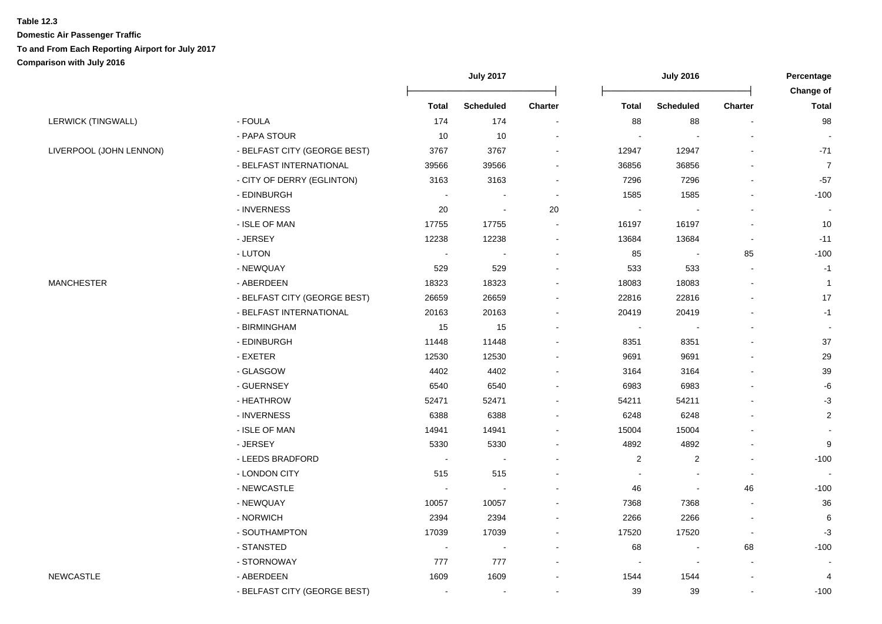|                         |                              |                | <b>July 2017</b>         |                |                | <b>July 2016</b> |                | Percentage<br>Change of |
|-------------------------|------------------------------|----------------|--------------------------|----------------|----------------|------------------|----------------|-------------------------|
|                         |                              | <b>Total</b>   | <b>Scheduled</b>         | <b>Charter</b> | <b>Total</b>   | <b>Scheduled</b> | <b>Charter</b> | <b>Total</b>            |
| LERWICK (TINGWALL)      | - FOULA                      | 174            | 174                      | $\sim$         | 88             | 88               | $\sim$         | 98                      |
|                         | - PAPA STOUR                 | 10             | 10                       |                |                | $\overline{a}$   |                |                         |
| LIVERPOOL (JOHN LENNON) | - BELFAST CITY (GEORGE BEST) | 3767           | 3767                     |                | 12947          | 12947            |                | $-71$                   |
|                         | - BELFAST INTERNATIONAL      | 39566          | 39566                    |                | 36856          | 36856            |                | $\overline{7}$          |
|                         | - CITY OF DERRY (EGLINTON)   | 3163           | 3163                     |                | 7296           | 7296             |                | $-57$                   |
|                         | - EDINBURGH                  | $\sim$         |                          | $\blacksquare$ | 1585           | 1585             |                | $-100$                  |
|                         | - INVERNESS                  | 20             | ÷,                       | 20             | $\sim$         |                  |                |                         |
|                         | - ISLE OF MAN                | 17755          | 17755                    | ä,             | 16197          | 16197            |                | 10                      |
|                         | - JERSEY                     | 12238          | 12238                    | $\blacksquare$ | 13684          | 13684            | $\blacksquare$ | $-11$                   |
|                         | - LUTON                      | $\sim$         | $\overline{\phantom{a}}$ | $\blacksquare$ | 85             | $\blacksquare$   | 85             | $-100$                  |
|                         | - NEWQUAY                    | 529            | 529                      |                | 533            | 533              | $\sim$         | $-1$                    |
| <b>MANCHESTER</b>       | - ABERDEEN                   | 18323          | 18323                    |                | 18083          | 18083            |                | $\mathbf{1}$            |
|                         | - BELFAST CITY (GEORGE BEST) | 26659          | 26659                    |                | 22816          | 22816            |                | 17                      |
|                         | - BELFAST INTERNATIONAL      | 20163          | 20163                    |                | 20419          | 20419            |                | $-1$                    |
|                         | - BIRMINGHAM                 | 15             | 15                       |                |                |                  |                |                         |
|                         | - EDINBURGH                  | 11448          | 11448                    |                | 8351           | 8351             |                | 37                      |
|                         | - EXETER                     | 12530          | 12530                    |                | 9691           | 9691             |                | 29                      |
|                         | - GLASGOW                    | 4402           | 4402                     |                | 3164           | 3164             |                | 39                      |
|                         | - GUERNSEY                   | 6540           | 6540                     |                | 6983           | 6983             |                | $\textnormal{-}6$       |
|                         | - HEATHROW                   | 52471          | 52471                    |                | 54211          | 54211            |                | $-3$                    |
|                         | - INVERNESS                  | 6388           | 6388                     |                | 6248           | 6248             |                | $\overline{2}$          |
|                         | - ISLE OF MAN                | 14941          | 14941                    |                | 15004          | 15004            |                |                         |
|                         | - JERSEY                     | 5330           | 5330                     |                | 4892           | 4892             |                | $\boldsymbol{9}$        |
|                         | - LEEDS BRADFORD             | $\sim$         | $\blacksquare$           |                | $\overline{c}$ | $\overline{2}$   | $\sim$         | $-100$                  |
|                         | - LONDON CITY                | 515            | 515                      |                |                |                  | $\blacksquare$ |                         |
|                         | - NEWCASTLE                  |                |                          |                | 46             | $\blacksquare$   | 46             | $-100$                  |
|                         | - NEWQUAY                    | 10057          | 10057                    |                | 7368           | 7368             |                | 36                      |
|                         | - NORWICH                    | 2394           | 2394                     |                | 2266           | 2266             |                | 6                       |
|                         | - SOUTHAMPTON                | 17039          | 17039                    | ۰              | 17520          | 17520            | $\blacksquare$ | $-3$                    |
|                         | - STANSTED                   | $\sim$         |                          |                | 68             | $\blacksquare$   | 68             | $-100$                  |
|                         | - STORNOWAY                  | 777            | 777                      | ۰              |                | $\blacksquare$   |                |                         |
| <b>NEWCASTLE</b>        | - ABERDEEN                   | 1609           | 1609                     | ۰              | 1544           | 1544             | $\blacksquare$ | 4                       |
|                         | - BELFAST CITY (GEORGE BEST) | $\blacksquare$ | $\blacksquare$           | $\blacksquare$ | 39             | 39               | $\blacksquare$ | $-100$                  |
|                         |                              |                |                          |                |                |                  |                |                         |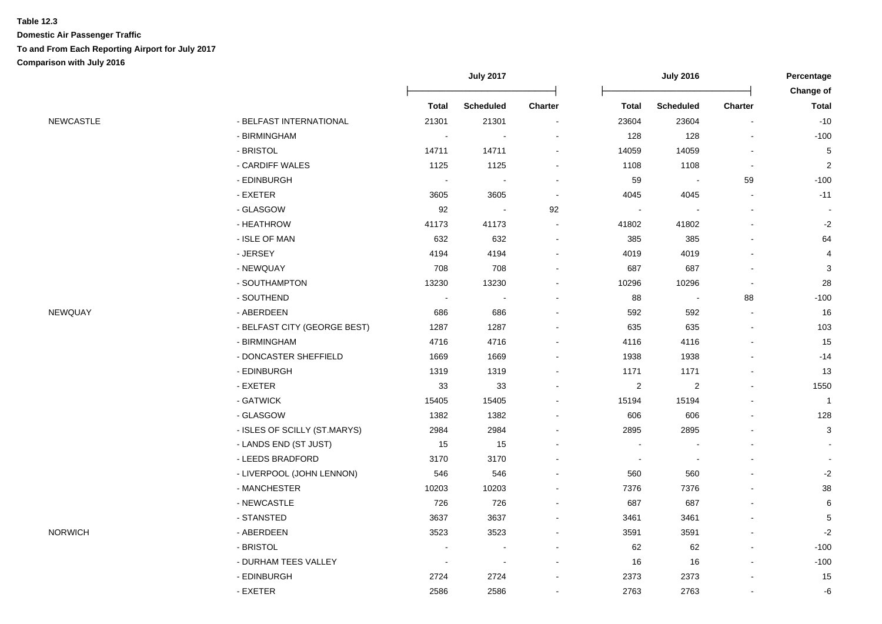|           |                              | <b>July 2017</b>         |                            |                          |                | Percentage<br>Change of  |                |                           |
|-----------|------------------------------|--------------------------|----------------------------|--------------------------|----------------|--------------------------|----------------|---------------------------|
|           |                              | <b>Total</b>             | <b>Scheduled</b>           | <b>Charter</b>           | <b>Total</b>   | <b>Scheduled</b>         | <b>Charter</b> | <b>Total</b>              |
| NEWCASTLE | - BELFAST INTERNATIONAL      | 21301                    | 21301                      |                          | 23604          | 23604                    |                | $-10$                     |
|           | - BIRMINGHAM                 | $\sim$                   | $\overline{\phantom{a}}$   |                          | 128            | 128                      |                | $-100$                    |
|           | - BRISTOL                    | 14711                    | 14711                      | $\overline{a}$           | 14059          | 14059                    |                | $\mathbf 5$               |
|           | - CARDIFF WALES              | 1125                     | 1125                       |                          | 1108           | 1108                     |                | $\overline{c}$            |
|           | - EDINBURGH                  | $\sim$                   | $\overline{\phantom{a}}$   |                          | 59             | $\overline{\phantom{a}}$ | 59             | $-100$                    |
|           | - EXETER                     | 3605                     | 3605                       | $\overline{\phantom{a}}$ | 4045           | 4045                     |                | $-11$                     |
|           | - GLASGOW                    | 92                       | $\mathcal{L}_{\mathbf{r}}$ | 92                       |                |                          |                | $\sim$                    |
|           | - HEATHROW                   | 41173                    | 41173                      |                          | 41802          | 41802                    |                | $-2$                      |
|           | - ISLE OF MAN                | 632                      | 632                        | $\overline{\phantom{a}}$ | 385            | 385                      |                | 64                        |
|           | - JERSEY                     | 4194                     | 4194                       | $\blacksquare$           | 4019           | 4019                     |                | $\overline{\mathbf{4}}$   |
|           | - NEWQUAY                    | 708                      | 708                        | $\blacksquare$           | 687            | 687                      |                | $\ensuremath{\mathsf{3}}$ |
|           | - SOUTHAMPTON                | 13230                    | 13230                      |                          | 10296          | 10296                    |                | 28                        |
|           | - SOUTHEND                   |                          |                            |                          | 88             | $\overline{\phantom{a}}$ | 88             | $-100$                    |
| NEWQUAY   | - ABERDEEN                   | 686                      | 686                        |                          | 592            | 592                      |                | 16                        |
|           | - BELFAST CITY (GEORGE BEST) | 1287                     | 1287                       |                          | 635            | 635                      |                | 103                       |
|           | - BIRMINGHAM                 | 4716                     | 4716                       |                          | 4116           | 4116                     |                | 15                        |
|           | - DONCASTER SHEFFIELD        | 1669                     | 1669                       |                          | 1938           | 1938                     |                | $-14$                     |
|           | - EDINBURGH                  | 1319                     | 1319                       |                          | 1171           | 1171                     |                | 13                        |
|           | - EXETER                     | 33                       | 33                         |                          | $\overline{c}$ | 2                        |                | 1550                      |
|           | - GATWICK                    | 15405                    | 15405                      |                          | 15194          | 15194                    |                | $\overline{1}$            |
|           | - GLASGOW                    | 1382                     | 1382                       |                          | 606            | 606                      |                | 128                       |
|           | - ISLES OF SCILLY (ST.MARYS) | 2984                     | 2984                       |                          | 2895           | 2895                     |                | $\sqrt{3}$                |
|           | - LANDS END (ST JUST)        | 15                       | 15                         |                          |                |                          |                |                           |
|           | - LEEDS BRADFORD             | 3170                     | 3170                       |                          |                | $\blacksquare$           |                | $\blacksquare$            |
|           | - LIVERPOOL (JOHN LENNON)    | 546                      | 546                        |                          | 560            | 560                      |                | $-2$                      |
|           | - MANCHESTER                 | 10203                    | 10203                      |                          | 7376           | 7376                     |                | 38                        |
|           | - NEWCASTLE                  | 726                      | 726                        |                          | 687            | 687                      |                | 6                         |
|           | - STANSTED                   | 3637                     | 3637                       | $\blacksquare$           | 3461           | 3461                     |                | $\,$ 5 $\,$               |
| NORWICH   | - ABERDEEN                   | 3523                     | 3523                       |                          | 3591           | 3591                     |                | $-2$                      |
|           | - BRISTOL                    | $\blacksquare$           | $\overline{\phantom{a}}$   | $\overline{\phantom{a}}$ | 62             | 62                       | $\blacksquare$ | $-100$                    |
|           | - DURHAM TEES VALLEY         | $\overline{\phantom{a}}$ | $\overline{\phantom{a}}$   |                          | 16             | 16                       |                | $-100$                    |
|           | - EDINBURGH                  | 2724                     | 2724                       |                          | 2373           | 2373                     |                | 15                        |
|           | - EXETER                     | 2586                     | 2586                       |                          | 2763           | 2763                     |                | -6                        |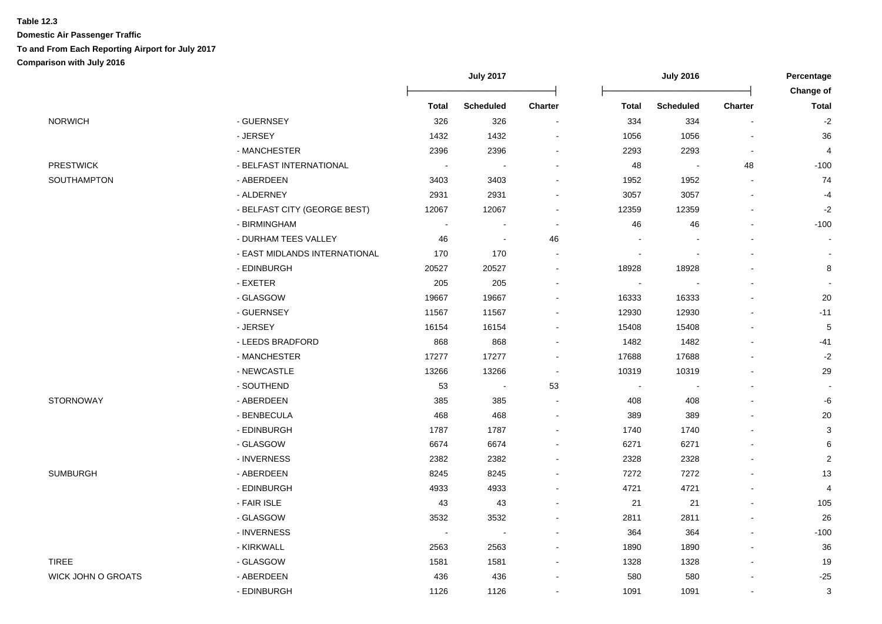|                           |                               | <b>July 2017</b>         |                  |                          | <b>July 2016</b>         |                  |                          | Percentage<br>Change of |
|---------------------------|-------------------------------|--------------------------|------------------|--------------------------|--------------------------|------------------|--------------------------|-------------------------|
|                           |                               | <b>Total</b>             | <b>Scheduled</b> | <b>Charter</b>           | <b>Total</b>             | <b>Scheduled</b> | <b>Charter</b>           | <b>Total</b>            |
| <b>NORWICH</b>            | - GUERNSEY                    | 326                      | 326              | $\overline{\phantom{a}}$ | 334                      | 334              | $\blacksquare$           | $-2$                    |
|                           | - JERSEY                      | 1432                     | 1432             | ÷,                       | 1056                     | 1056             |                          | 36                      |
|                           | - MANCHESTER                  | 2396                     | 2396             |                          | 2293                     | 2293             | $\blacksquare$           | $\overline{4}$          |
| <b>PRESTWICK</b>          | - BELFAST INTERNATIONAL       | $\sim$                   |                  |                          | 48                       |                  | 48                       | $-100$                  |
| SOUTHAMPTON               | - ABERDEEN                    | 3403                     | 3403             | $\blacksquare$           | 1952                     | 1952             | $\blacksquare$           | 74                      |
|                           | - ALDERNEY                    | 2931                     | 2931             |                          | 3057                     | 3057             | $\blacksquare$           | $-4$                    |
|                           | - BELFAST CITY (GEORGE BEST)  | 12067                    | 12067            | $\overline{\phantom{a}}$ | 12359                    | 12359            | $\blacksquare$           | $-2$                    |
|                           | - BIRMINGHAM                  | $\sim$                   | $\sim$           | $\overline{a}$           | 46                       | 46               | $\overline{a}$           | $-100$                  |
|                           | - DURHAM TEES VALLEY          | 46                       | $\blacksquare$   | 46                       | $\overline{\phantom{a}}$ |                  |                          | $\blacksquare$          |
|                           | - EAST MIDLANDS INTERNATIONAL | 170                      | 170              | $\blacksquare$           | $\overline{\phantom{a}}$ |                  | $\sim$                   |                         |
|                           | - EDINBURGH                   | 20527                    | 20527            | $\blacksquare$           | 18928                    | 18928            |                          | 8                       |
|                           | - EXETER                      | 205                      | 205              | $\overline{a}$           | $\sim$                   |                  |                          |                         |
|                           | - GLASGOW                     | 19667                    | 19667            | $\blacksquare$           | 16333                    | 16333            | $\sim$                   | $20\,$                  |
|                           | - GUERNSEY                    | 11567                    | 11567            | $\overline{a}$           | 12930                    | 12930            | $\sim$                   | $-11$                   |
|                           | - JERSEY                      | 16154                    | 16154            |                          | 15408                    | 15408            |                          | $\mathbf 5$             |
|                           | - LEEDS BRADFORD              | 868                      | 868              | $\blacksquare$           | 1482                     | 1482             | $\sim$                   | $-41$                   |
|                           | - MANCHESTER                  | 17277                    | 17277            | $\overline{a}$           | 17688                    | 17688            |                          | $-2$                    |
|                           | - NEWCASTLE                   | 13266                    | 13266            | $\overline{\phantom{a}}$ | 10319                    | 10319            | $\sim$                   | 29                      |
|                           | - SOUTHEND                    | 53                       | $\blacksquare$   | 53                       | $\blacksquare$           |                  | $\sim$                   | $\sim$                  |
| <b>STORNOWAY</b>          | - ABERDEEN                    | 385                      | 385              | $\sim$                   | 408                      | 408              | $\sim$                   | -6                      |
|                           | - BENBECULA                   | 468                      | 468              | $\blacksquare$           | 389                      | 389              |                          | 20                      |
|                           | - EDINBURGH                   | 1787                     | 1787             | $\blacksquare$           | 1740                     | 1740             | $\sim$                   | 3                       |
|                           | - GLASGOW                     | 6674                     | 6674             | $\overline{\phantom{a}}$ | 6271                     | 6271             |                          | 6                       |
|                           | - INVERNESS                   | 2382                     | 2382             | $\overline{a}$           | 2328                     | 2328             |                          | $\boldsymbol{2}$        |
| <b>SUMBURGH</b>           | - ABERDEEN                    | 8245                     | 8245             |                          | 7272                     | 7272             |                          | 13                      |
|                           | - EDINBURGH                   | 4933                     | 4933             |                          | 4721                     | 4721             | $\overline{a}$           | $\overline{4}$          |
|                           | - FAIR ISLE                   | 43                       | 43               |                          | 21                       | 21               |                          | 105                     |
|                           | - GLASGOW                     | 3532                     | 3532             | ÷,                       | 2811                     | 2811             |                          | 26                      |
|                           | - INVERNESS                   | $\overline{\phantom{a}}$ |                  | $\blacksquare$           | 364                      | 364              | $\sim$                   | $-100$                  |
|                           | - KIRKWALL                    | 2563                     | 2563             | $\blacksquare$           | 1890                     | 1890             | $\sim$                   | 36                      |
| <b>TIREE</b>              | - GLASGOW                     | 1581                     | 1581             | $\blacksquare$           | 1328                     | 1328             | $\overline{\phantom{a}}$ | 19                      |
| <b>WICK JOHN O GROATS</b> | - ABERDEEN                    | 436                      | 436              |                          | 580                      | 580              |                          | $-25$                   |
|                           | - EDINBURGH                   | 1126                     | 1126             | $\blacksquare$           | 1091                     | 1091             | $\blacksquare$           | 3                       |
|                           |                               |                          |                  |                          |                          |                  |                          |                         |